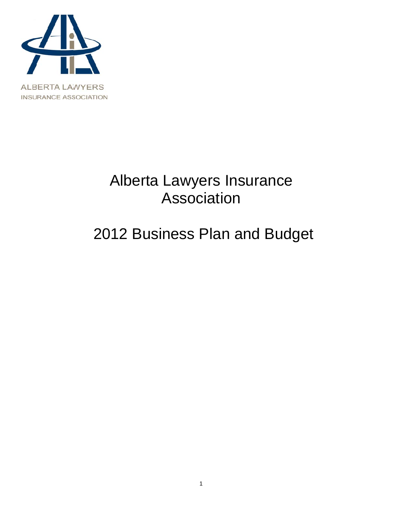

# Alberta Lawyers Insurance Association

# 2012 Business Plan and Budget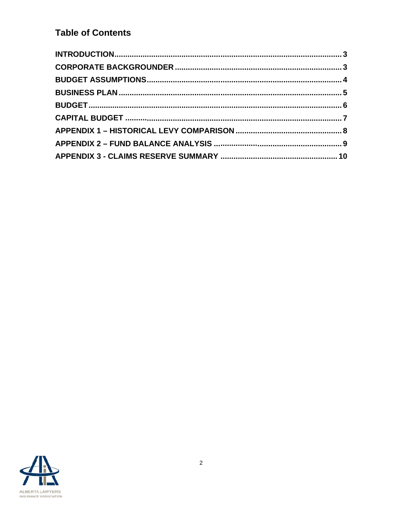## **Table of Contents**

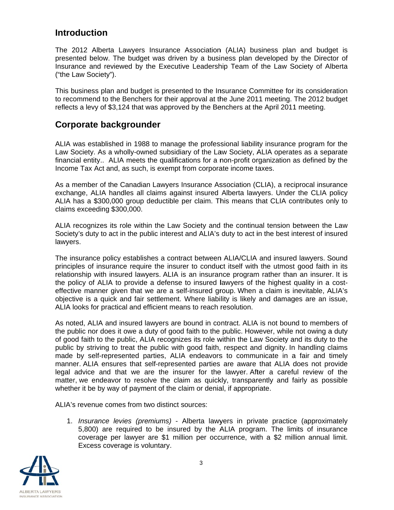## **Introduction**

The 2012 Alberta Lawyers Insurance Association (ALIA) business plan and budget is presented below. The budget was driven by a business plan developed by the Director of Insurance and reviewed by the Executive Leadership Team of the Law Society of Alberta ("the Law Society").

This business plan and budget is presented to the Insurance Committee for its consideration to recommend to the Benchers for their approval at the June 2011 meeting. The 2012 budget reflects a levy of \$3,124 that was approved by the Benchers at the April 2011 meeting.

## **Corporate backgrounder**

ALIA was established in 1988 to manage the professional liability insurance program for the Law Society. As a wholly-owned subsidiary of the Law Society, ALIA operates as a separate financial entity.. ALIA meets the qualifications for a non-profit organization as defined by the Income Tax Act and, as such, is exempt from corporate income taxes.

As a member of the Canadian Lawyers Insurance Association (CLIA), a reciprocal insurance exchange, ALIA handles all claims against insured Alberta lawyers. Under the CLIA policy ALIA has a \$300,000 group deductible per claim. This means that CLIA contributes only to claims exceeding \$300,000.

ALIA recognizes its role within the Law Society and the continual tension between the Law Society's duty to act in the public interest and ALIA's duty to act in the best interest of insured lawyers.

The insurance policy establishes a contract between ALIA/CLIA and insured lawyers. Sound principles of insurance require the insurer to conduct itself with the utmost good faith in its relationship with insured lawyers. ALIA is an insurance program rather than an insurer. It is the policy of ALIA to provide a defense to insured lawyers of the highest quality in a costeffective manner given that we are a self-insured group. When a claim is inevitable, ALIA's objective is a quick and fair settlement. Where liability is likely and damages are an issue. ALIA looks for practical and efficient means to reach resolution.

As noted. ALIA and insured lawvers are bound in contract. ALIA is not bound to members of the public nor does it owe a duty of good faith to the public. However, while not owing a duty of good faith to the public, ALIA recognizes its role within the Law Society and its duty to the public by striving to treat the public with good faith, respect and dignity. In handling claims made by self-represented parties, ALIA endeavors to communicate in a fair and timely manner. ALIA ensures that self-represented parties are aware that ALIA does not provide legal advice and that we are the insurer for the lawyer. After a careful review of the matter, we endeavor to resolve the claim as quickly, transparently and fairly as possible whether it be by way of payment of the claim or denial, if appropriate.

ALIA's revenue comes from two distinct sources:

1. Insurance levies (premiums) - Alberta lawyers in private practice (approximately 5,800) are required to be insured by the ALIA program. The limits of insurance coverage per lawyer are \$1 million per occurrence, with a \$2 million annual limit. Excess coverage is voluntary.

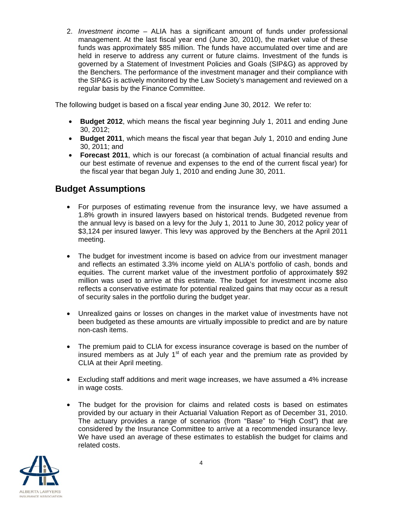2. Investment income - ALIA has a significant amount of funds under professional management. At the last fiscal year end (June 30, 2010), the market value of these funds was approximately \$85 million. The funds have accumulated over time and are held in reserve to address any current or future claims. Investment of the funds is governed by a Statement of Investment Policies and Goals (SIP&G) as approved by the Benchers. The performance of the investment manager and their compliance with the SIP&G is actively monitored by the Law Society's management and reviewed on a regular basis by the Finance Committee.

The following budget is based on a fiscal year ending June 30, 2012. We refer to:

- Budget 2012, which means the fiscal year beginning July 1, 2011 and ending June  $30, 2012;$
- Budget 2011, which means the fiscal year that began July 1, 2010 and ending June  $30.2011$ : and
- Forecast 2011, which is our forecast (a combination of actual financial results and our best estimate of revenue and expenses to the end of the current fiscal year) for the fiscal year that began July 1, 2010 and ending June 30, 2011.

## **Budget Assumptions**

- For purposes of estimating revenue from the insurance levy, we have assumed a 1.8% growth in insured lawyers based on historical trends. Budgeted revenue from the annual levy is based on a levy for the July 1, 2011 to June 30, 2012 policy year of \$3,124 per insured lawyer. This levy was approved by the Benchers at the April 2011 meeting.
- The budget for investment income is based on advice from our investment manager  $\bullet$ and reflects an estimated 3.3% income yield on ALIA's portfolio of cash, bonds and equities. The current market value of the investment portfolio of approximately \$92 million was used to arrive at this estimate. The budget for investment income also reflects a conservative estimate for potential realized gains that may occur as a result of security sales in the portfolio during the budget year.
- Unrealized gains or losses on changes in the market value of investments have not  $\bullet$ been budgeted as these amounts are virtually impossible to predict and are by nature non-cash items.
- The premium paid to CLIA for excess insurance coverage is based on the number of  $\bullet$ insured members as at July 1<sup>st</sup> of each year and the premium rate as provided by CLIA at their April meeting.
- Excluding staff additions and merit wage increases, we have assumed a 4% increase  $\bullet$ in wage costs.
- The budget for the provision for claims and related costs is based on estimates  $\bullet$ provided by our actuary in their Actuarial Valuation Report as of December 31, 2010. The actuary provides a range of scenarios (from "Base" to "High Cost") that are considered by the Insurance Committee to arrive at a recommended insurance levy. We have used an average of these estimates to establish the budget for claims and related costs.

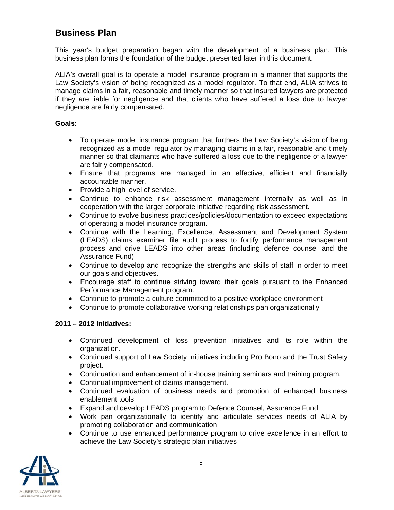## **Business Plan**

This year's budget preparation began with the development of a business plan. This business plan forms the foundation of the budget presented later in this document.

ALIA's overall goal is to operate a model insurance program in a manner that supports the Law Society's vision of being recognized as a model regulator. To that end, ALIA strives to manage claims in a fair, reasonable and timely manner so that insured lawyers are protected if they are liable for negligence and that clients who have suffered a loss due to lawyer negligence are fairly compensated.

#### Goals:

- To operate model insurance program that furthers the Law Society's vision of being recognized as a model regulator by managing claims in a fair, reasonable and timely manner so that claimants who have suffered a loss due to the negligence of a lawyer are fairly compensated.
- Ensure that programs are managed in an effective, efficient and financially accountable manner.
- Provide a high level of service.
- Continue to enhance risk assessment management internally as well as in cooperation with the larger corporate initiative regarding risk assessment.
- Continue to evolve business practices/policies/documentation to exceed expectations of operating a model insurance program.
- Continue with the Learning, Excellence, Assessment and Development System (LEADS) claims examiner file audit process to fortify performance management process and drive LEADS into other areas (including defence counsel and the Assurance Fund)
- Continue to develop and recognize the strengths and skills of staff in order to meet our goals and objectives.
- Encourage staff to continue striving toward their goals pursuant to the Enhanced Performance Management program.
- Continue to promote a culture committed to a positive workplace environment
- Continue to promote collaborative working relationships pan organizationally

#### 2011 - 2012 Initiatives:

- Continued development of loss prevention initiatives and its role within the organization.
- Continued support of Law Society initiatives including Pro Bono and the Trust Safety project.
- Continuation and enhancement of in-house training seminars and training program.
- Continual improvement of claims management.
- Continued evaluation of business needs and promotion of enhanced business enablement tools
- Expand and develop LEADS program to Defence Counsel, Assurance Fund
- Work pan organizationally to identify and articulate services needs of ALIA by promoting collaboration and communication
- Continue to use enhanced performance program to drive excellence in an effort to achieve the Law Society's strategic plan initiatives

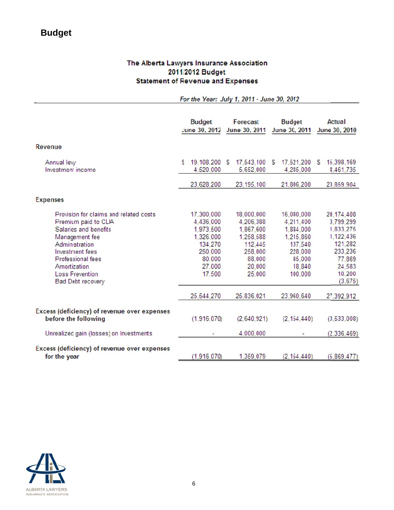# **Budget**

#### The Alberta Lawyers Insurance Association 2011/2012 Budget **Statement of Revenue and Expenses**

|                                                                                                                                                                                                                                                  | For the Year: July 1, 2011 - June 30, 2012                                                                          |                                                                                                                     |                                                                                                                      |                                                                                                                                 |  |  |
|--------------------------------------------------------------------------------------------------------------------------------------------------------------------------------------------------------------------------------------------------|---------------------------------------------------------------------------------------------------------------------|---------------------------------------------------------------------------------------------------------------------|----------------------------------------------------------------------------------------------------------------------|---------------------------------------------------------------------------------------------------------------------------------|--|--|
|                                                                                                                                                                                                                                                  | <b>Budget</b><br>June 30, 2012                                                                                      | Forecast<br>June 30, 2011                                                                                           | <b>Budget</b><br>June 30, 2011                                                                                       | <b>Actual</b><br>June 30, 2010                                                                                                  |  |  |
| <b>Revenue</b>                                                                                                                                                                                                                                   |                                                                                                                     |                                                                                                                     |                                                                                                                      |                                                                                                                                 |  |  |
| Annual levy<br>Investment income                                                                                                                                                                                                                 | 19,108,200 S<br>4,520,000                                                                                           | 17,543,100 S<br>5,652,000                                                                                           | 17,521,200<br>4,285,000                                                                                              | 15,398,169<br>S<br>8,461,735                                                                                                    |  |  |
|                                                                                                                                                                                                                                                  | 23.628.200                                                                                                          | 23.195.100                                                                                                          | 21.806,200                                                                                                           | 23,859,904                                                                                                                      |  |  |
| <b>Expenses</b>                                                                                                                                                                                                                                  |                                                                                                                     |                                                                                                                     |                                                                                                                      |                                                                                                                                 |  |  |
| Provision for claims and related costs<br>Premium paid to CLIA<br>Salaries and benefits<br>Management fee<br>Administration<br><b>Investment</b> fees<br><b>Professional fees</b><br>Amortization<br><b>Loss Frevention</b><br>Bad Debt recovery | 17,300,000<br>4,436,000<br>1.973.500<br>1.326,000<br>134,270<br>250,000<br>80,000<br>27,000<br>17,500<br>25.544.270 | 18,000,000<br>4,206,388<br>1.867.600<br>1.258.588<br>112,445<br>258,000<br>88,000<br>20,000<br>25,000<br>25,836,021 | 16,080,000<br>4.211.400<br>1.884.000<br>1,215,860<br>137,540<br>228,000<br>85,000<br>18,840<br>100,000<br>23,960,640 | 20.174.408<br>3.799.299<br>1,833,275<br>1.122,436<br>121.282<br>233,236<br>77.869<br>24,583<br>10,200<br>(3, 675)<br>27,392,912 |  |  |
| Excess (deficiency) of revenue over expenses<br>before the following                                                                                                                                                                             | (1,916,070)                                                                                                         | (2,640,921)                                                                                                         | (2, 154, 440)                                                                                                        | (3, 533, 008)                                                                                                                   |  |  |
| Unrealized gain (losses) on Investments                                                                                                                                                                                                          |                                                                                                                     | 4,000,000                                                                                                           |                                                                                                                      | (2,336,469)                                                                                                                     |  |  |
| Excess (deficiency) of revenue over expenses<br>for the year                                                                                                                                                                                     | (1.916.070)                                                                                                         | 1.359.079                                                                                                           | (2.154.440)                                                                                                          | (5.869.477)                                                                                                                     |  |  |

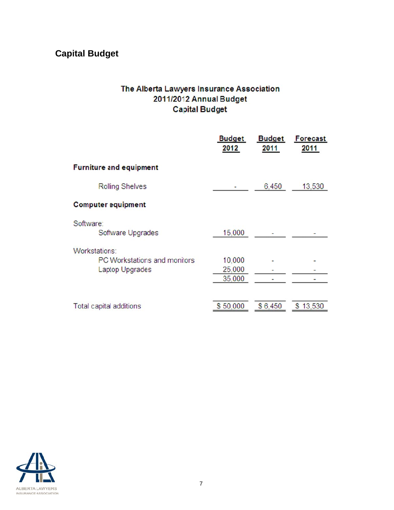# **Capital Budget**

### The Alberta Lawyers Insurance Association 2011/2012 Annual Budget **Capital Budget**

|                                                                                | <b>Budget</b><br>2012      | <b>Budget</b><br>2011 | <b>Forecast</b><br>2011 |
|--------------------------------------------------------------------------------|----------------------------|-----------------------|-------------------------|
| <b>Furniture and equipment</b>                                                 |                            |                       |                         |
| <b>Rolling Shelves</b>                                                         |                            | 6,450                 | 13,530                  |
| <b>Computer equipment</b>                                                      |                            |                       |                         |
| Software:<br>Software Upgrades                                                 | 15,000                     |                       |                         |
| Workstations:<br><b>PC Workstations and monitors</b><br><b>Laptop Upgrades</b> | 10,000<br>25,000<br>35,000 |                       |                         |
| Total capital additions                                                        | \$50,000                   | \$6,450               | \$13,530                |

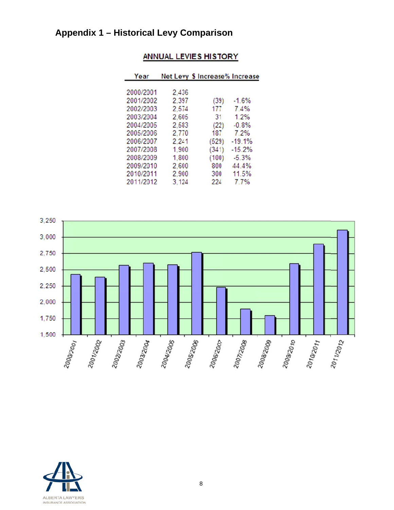## **Appendix 1 - Historical Levy Comparison**

| Year      |       | Net Levy \$ Increase% Increase |          |
|-----------|-------|--------------------------------|----------|
|           |       |                                |          |
| 2000/2001 | 2,436 |                                |          |
| 2001/2002 | 2.397 | (39)                           | $-1.6%$  |
| 2002/2003 | 2,574 | 177                            | 7.4%     |
| 2003/2004 | 2,605 | 31                             | 1.2%     |
| 2004/2005 | 2.583 | (22)                           | $-0.8%$  |
| 2005/2006 | 2,770 | 187                            | 7.2%     |
| 2006/2007 | 2.241 | (529)                          | $-19.1%$ |
| 2007/2008 | 1,900 | (341)                          | $-15.2%$ |
| 2008/2009 | 1,800 | (100)                          | $-5.3%$  |
| 2009/2010 | 2,600 | 800                            | 44.4%    |
| 2010/2011 | 2,900 | 300                            | 11.5%    |
| 2011/2012 | 3.124 | 224                            | 7.7%     |
|           |       |                                |          |

## ANNUAL LEVIES HISTORY



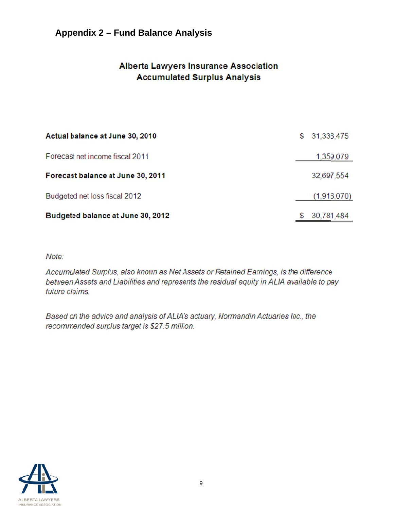## Appendix 2 - Fund Balance Analysis

## **Alberta Lawyers Insurance Association Accumulated Surplus Analysis**

| Actual balance at June 30, 2010   | S | 31,338,475  |
|-----------------------------------|---|-------------|
| Forecast net income fiscal 2011   |   | 1,359,079   |
| Forecast balance at June 30, 2011 |   | 32,697,554  |
| Budgeted net loss fiscal 2012     |   | (1,916,070) |
| Budgeted balance at June 30, 2012 |   | 30,781,484  |

Note:

Accumulated Surplus, also known as Net Assets or Retained Earnings, is the difference between Assets and Liabilities and represents the residual equity in ALIA available to pay future claims.

Based on the advice and analysis of ALIA's actuary, Normandin Actuaries Inc., the recommended surplus target is \$27.5 million.